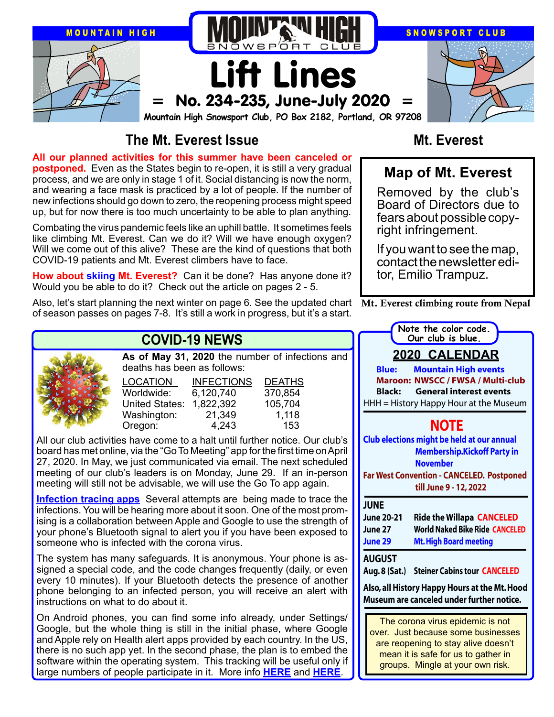

# **The Mt. Everest Issue**

**All our planned activities for this summer have been canceled or postponed.** Even as the States begin to re-open, it is still a very gradual process, and we are only in stage 1 of it. Social distancing is now the norm, and wearing a face mask is practiced by a lot of people. If the number of new infections should go down to zero, the reopening process might speed up, but for now there is too much uncertainty to be able to plan anything.

Combating the virus pandemic feels like an uphill battle. It sometimes feels like climbing Mt. Everest. Can we do it? Will we have enough oxygen? Will we come out of this alive? These are the kind of questions that both COVID-19 patients and Mt. Everest climbers have to face.

**How about skiing Mt. Everest?** Can it be done? Has anyone done it? Would you be able to do it? Check out the article on pages 2 - 5.

Also, let's start planning the next winter on page 6. See the updated chart  $\;$  Mt**.** Everest climbing route from Nepal of season passes on pages 7-8. It's still a work in progress, but it's a start.



# **COVID-19 NEWS**

**As of May 31, 2020** the number of infections and deaths has been as follows:

| LOCATION       | <b>INFECTIONS</b> | <b>DEATHS</b> |
|----------------|-------------------|---------------|
| Worldwide:     | 6,120,740         | 370,854       |
| United States: | 1,822,392         | 105,704       |
| Washington:    | 21,349            | 1,118         |
| Oregon:        | 4,243             | 153           |

All our club activities have come to a halt until further notice. Our club's board has met online, via the "Go To Meeting" app for the first time on April 27, 2020. In May, we just communicated via email. The next scheduled meeting of our club's leaders is on Monday, June 29. If an in-person meeting will still not be advisable, we will use the Go To app again.

**[Infection tracing apps](https://www.forbes.com/sites/rebeccabellan/2020/04/30/apple-and-google-launch-first-phase-of-covid-19-contact-tracing-will-americans-use-it/)** Several attempts are being made to trace the infections. You will be hearing more about it soon. One of the most promising is a collaboration between Apple and Google to use the strength of your phone's Bluetooth signal to alert you if you have been exposed to someone who is infected with the corona virus.

The system has many safeguards. It is anonymous. Your phone is assigned a special code, and the code changes frequently (daily, or even every 10 minutes). If your Bluetooth detects the presence of another phone belonging to an infected person, you will receive an alert with instructions on what to do about it.

On Android phones, you can find some info already, under Settings/ Google, but the whole thing is still in the initial phase, where Google and Apple rely on Health alert apps provided by each country. In the US, there is no such app yet. In the second phase, the plan is to embed the software within the operating system. This tracking will be useful only if large numbers of people participate in it. More info **[HERE](https://www.forbes.com/sites/rebeccabellan/2020/04/30/apple-and-google-launch-first-phase-of-covid-19-contact-tracing-will-americans-use-it/)** and **[HERE](https://wtop.com/national/2020/05/tech-assisted-covid-19-tracking-is-having-some-issues/)**.

## **Mt. Everest**

# **Map of Mt. Everest**

Removed by the club's Board of Directors due to fears about possible copy- right infringement.

If you want to see the map, contact the newsletter editor, Emilio Trampuz.

| Note the color code.                                                                       |  |  |  |  |
|--------------------------------------------------------------------------------------------|--|--|--|--|
| Our club is blue.                                                                          |  |  |  |  |
| <u> 2020 CALENDAR</u>                                                                      |  |  |  |  |
| <b>Blue:</b><br><b>Mountain High events</b>                                                |  |  |  |  |
| <b>Maroon: NWSCC / FWSA / Multi-club</b>                                                   |  |  |  |  |
| <b>General interest events</b><br><b>Black:</b>                                            |  |  |  |  |
| HHH = History Happy Hour at the Museum                                                     |  |  |  |  |
| <b>NOTE</b><br>Club elections might be held at our annual                                  |  |  |  |  |
| <b>Membership.Kickoff Party in</b><br><b>November</b>                                      |  |  |  |  |
| <b>Far West Convention - CANCELED. Postponed</b><br>till June 9 - 12, 2022                 |  |  |  |  |
|                                                                                            |  |  |  |  |
| <b>JUNE</b>                                                                                |  |  |  |  |
| <b>June 20-21</b><br><b>Ride the Willapa CANCELED</b>                                      |  |  |  |  |
| <b>World Naked Bike Ride CANCELED</b><br>June 27                                           |  |  |  |  |
| June 29<br><b>Mt. High Board meeting</b>                                                   |  |  |  |  |
| <b>AUGUST</b>                                                                              |  |  |  |  |
| <b>Steiner Cabins tour CANCELED</b><br>Aug. 8 (Sat.)                                       |  |  |  |  |
| Also, all History Happy Hours at the Mt. Hood<br>Museum are canceled under further notice. |  |  |  |  |

groups. Mingle at your own risk.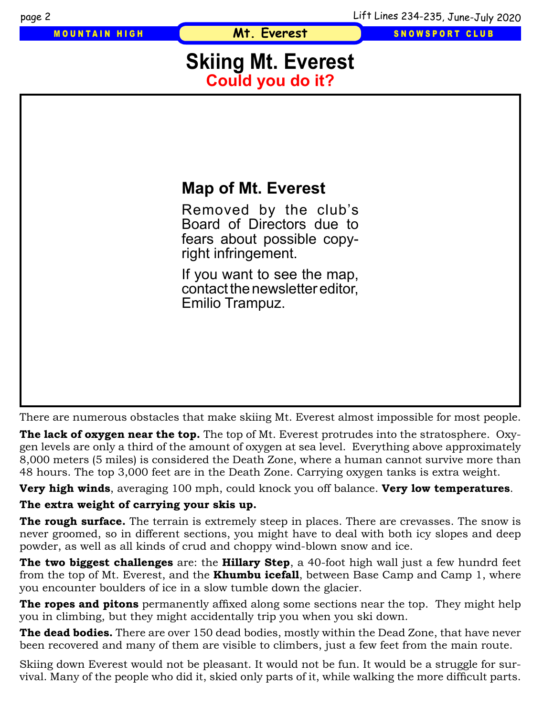**Mt. Everest**

MOUNTAIN HIGH **SNOWSPORT CLUB** 

# **Skiing Mt. Everest Could you do it?**



There are numerous obstacles that make skiing Mt. Everest almost impossible for most people.

**The lack of oxygen near the top.** The top of Mt. Everest protrudes into the stratosphere. Oxygen levels are only a third of the amount of oxygen at sea level. Everything above approximately 8,000 meters (5 miles) is considered the Death Zone, where a human cannot survive more than 48 hours. The top 3,000 feet are in the Death Zone. Carrying oxygen tanks is extra weight.

**Very high winds**, averaging 100 mph, could knock you off balance. **Very low temperatures**.

**The extra weight of carrying your skis up.**

**The rough surface.** The terrain is extremely steep in places. There are crevasses. The snow is never groomed, so in different sections, you might have to deal with both icy slopes and deep powder, as well as all kinds of crud and choppy wind-blown snow and ice.

**The two biggest challenges** are: the **Hillary Step**, a 40-foot high wall just a few hundrd feet from the top of Mt. Everest, and the **Khumbu icefall**, between Base Camp and Camp 1, where you encounter boulders of ice in a slow tumble down the glacier.

**The ropes and pitons** permanently affixed along some sections near the top. They might help you in climbing, but they might accidentally trip you when you ski down.

**The dead bodies.** There are over 150 dead bodies, mostly within the Dead Zone, that have never been recovered and many of them are visible to climbers, just a few feet from the main route.

Skiing down Everest would not be pleasant. It would not be fun. It would be a struggle for survival. Many of the people who did it, skied only parts of it, while walking the more difficult parts.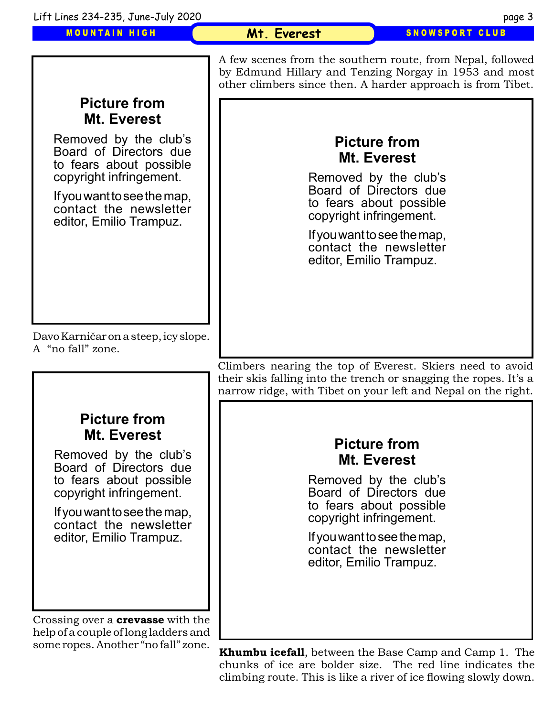

climbing route. This is like a river of ice flowing slowly down.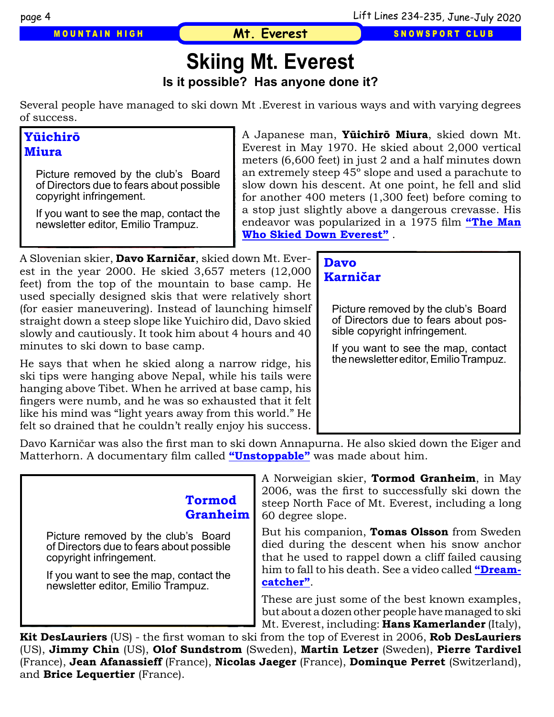**Mt. Everest**

MOUNTAIN HIGH **SNOWSPORT CLUB** 

# **Skiing Mt. Everest**

**Is it possible? Has anyone done it?** 

Several people have managed to ski down Mt .Everest in various ways and with varying degrees of success.

### **Yūichirō Miura**

[Picture removed by the club's Board](https://youtu.be/piNRRg7WuG8)  of Directors due to fears about possible copyright infringement.

If you want to see the map, contact the newsletter editor, Emilio Trampuz.

A Japanese man, **Yūichirō Miura**, skied down Mt. Everest in May 1970. He skied about 2,000 vertical meters (6,600 feet) in just 2 and a half minutes down an extremely steep 45º slope and used a parachute to slow down his descent. At one point, he fell and slid for another 400 meters (1,300 feet) before coming to a stop just slightly above a dangerous crevasse. His endeavor was popularized in a 1975 film **"The Man Who Skied Down Everest"** .

A Slovenian skier, **Davo Karničar**, skied down Mt. Everest in the year 2000. He skied 3,657 meters (12,000 feet) from the top of the mountain to base camp. He used specially designed skis that were relatively short (for easier maneuvering). Instead of launching himself straight down a steep slope like Yuichiro did, Davo skied slowly and cautiously. It took him about 4 hours and 40 minutes to ski down to base camp.

He says that when he skied along a narrow ridge, his ski tips were hanging above Nepal, while his tails were hanging above Tibet. When he arrived at base camp, his fingers were numb, and he was so exhausted that it felt like his mind was "light years away from this world." He felt so drained that he couldn't really enjoy his success.

#### **Davo Karničar**

Picture removed by the club's Board of Directors due to fears about possible copyright infringement.

[If you want to see the map, contact](https://youtu.be/Kf04MDN45YM)  the newsletter editor, Emilio Trampuz.

Davo Karničar was also the first man to ski down Annapurna. He also skied down the Eiger and Matterhorn. A documentary film called **["Unstoppable"](https://youtu.be/Kf04MDN45YM)** was made about him.

### **Tormod Granheim**

[Picture removed by the club's Board](https://youtu.be/aqY6bk_o210)  of Directors due to fears about possible copyright infringement.

If you want to see the map, contact the newsletter editor, Emilio Trampuz.

A Norweigian skier, **Tormod Granheim**, in May 2006, was the first to successfully ski down the steep North Face of Mt. Everest, including a long 60 degree slope.

But his companion, **Tomas Olsson** from Sweden died during the descent when his snow anchor that he used to rappel down a cliff failed causing him to fall to his death. See a video called **["Dream](https://youtu.be/aqY6bk_o210)[catcher"](https://youtu.be/aqY6bk_o210)**.

These are just some of the best known examples, but about a dozen other people have managed to ski Mt. Everest, including: **Hans Kamerlander** (Italy),

**Kit DesLauriers** (US) - the first woman to ski from the top of Everest in 2006, **Rob DesLauriers** (US), **Jimmy Chin** (US), **Olof Sundstrom** (Sweden), **Martin Letzer** (Sweden), **Pierre Tardivel** (France), **Jean Afanassieff** (France), **Nicolas Jaeger** (France), **Dominque Perret** (Switzerland), and **Brice Lequertier** (France).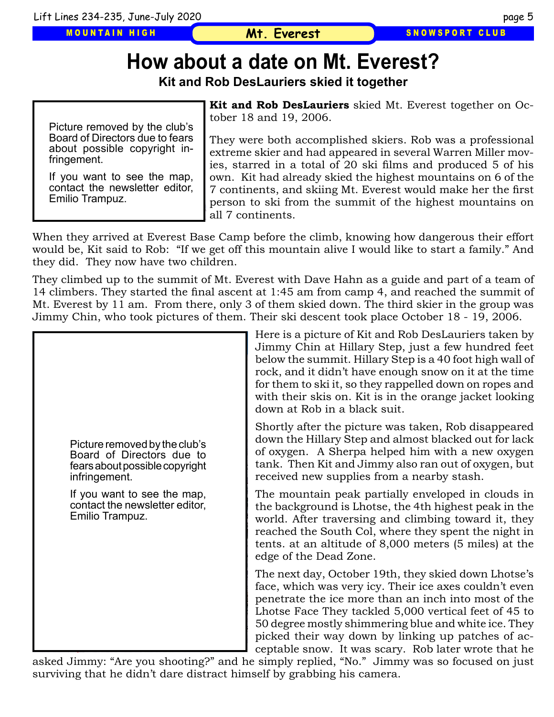MOUNTAIN HIGH

#### SNOWSPORT CLUB

# **How about a date on Mt. Everest?**

**Kit and Rob DesLauriers skied it together** 

Picture removed by the club's Board of Directors due to fears about possible copyright infringement.

If you want to see the map, contact the newsletter editor, Emilio Trampuz.

**Kit and Rob DesLauriers** skied Mt. Everest together on October 18 and 19, 2006.

They were both accomplished skiers. Rob was a professional extreme skier and had appeared in several Warren Miller movies, starred in a total of 20 ski films and produced 5 of his own. Kit had already skied the highest mountains on 6 of the 7 continents, and skiing Mt. Everest would make her the first person to ski from the summit of the highest mountains on all 7 continents.

When they arrived at Everest Base Camp before the climb, knowing how dangerous their effort would be, Kit said to Rob: "If we get off this mountain alive I would like to start a family." And they did. They now have two children.

They climbed up to the summit of Mt. Everest with Dave Hahn as a guide and part of a team of 14 climbers. They started the final ascent at 1:45 am from camp 4, and reached the summit of Mt. Everest by 11 am. From there, only 3 of them skied down. The third skier in the group was Jimmy Chin, who took pictures of them. Their ski descent took place October 18 - 19, 2006.



Here is a picture of Kit and Rob DesLauriers taken by Jimmy Chin at Hillary Step, just a few hundred feet below the summit. Hillary Step is a 40 foot high wall of rock, and it didn't have enough snow on it at the time for them to ski it, so they rappelled down on ropes and with their skis on. Kit is in the orange jacket looking down at Rob in a black suit.

Shortly after the picture was taken, Rob disappeared down the Hillary Step and almost blacked out for lack of oxygen. A Sherpa helped him with a new oxygen tank. Then Kit and Jimmy also ran out of oxygen, but received new supplies from a nearby stash.

The mountain peak partially enveloped in clouds in the background is Lhotse, the 4th highest peak in the world. After traversing and climbing toward it, they reached the South Col, where they spent the night in tents. at an altitude of 8,000 meters (5 miles) at the edge of the Dead Zone.

The next day, October 19th, they skied down Lhotse's face, which was very icy. Their ice axes couldn't even penetrate the ice more than an inch into most of the Lhotse Face They tackled 5,000 vertical feet of 45 to 50 degree mostly shimmering blue and white ice. They picked their way down by linking up patches of acceptable snow. It was scary. Rob later wrote that he

asked Jimmy: "Are you shooting?" and he simply replied, "No." Jimmy was so focused on just surviving that he didn't dare distract himself by grabbing his camera.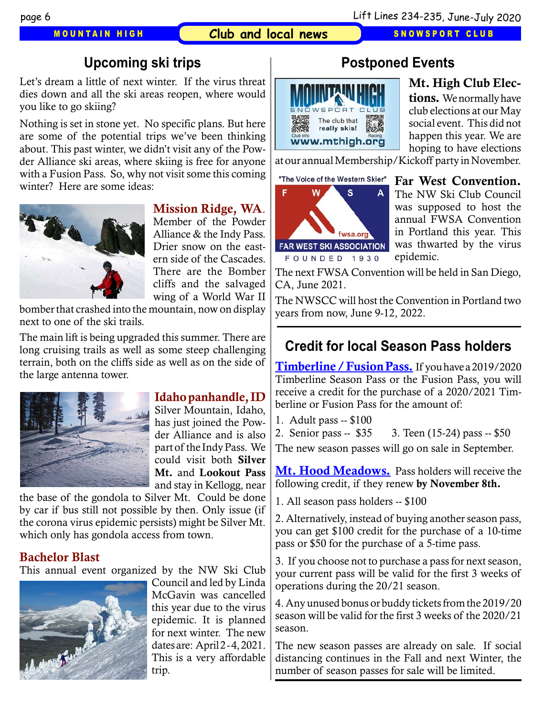#### MOUNTAIN HIGH **Club and local news** SNOWSPORT CLUB

# **Upcoming ski trips**

Let's dream a little of next winter. If the virus threat dies down and all the ski areas reopen, where would you like to go skiing?

Nothing is set in stone yet. No specific plans. But here are some of the potential trips we've been thinking about. This past winter, we didn't visit any of the Powder Alliance ski areas, where skiing is free for anyone with a Fusion Pass. So, why not visit some this coming winter? Here are some ideas:



#### Mission Ridge, WA.

Member of the Powder Alliance & the Indy Pass. Drier snow on the eastern side of the Cascades. There are the Bomber cliffs and the salvaged wing of a World War II

bomber that crashed into the mountain, now on display next to one of the ski trails.

The main lift is being upgraded this summer. There are long cruising trails as well as some steep challenging terrain, both on the cliffs side as well as on the side of the large antenna tower.



#### Idaho panhandle, ID

Silver Mountain, Idaho, has just joined the Powder Alliance and is also part of the Indy Pass. We could visit both Silver Mt. and Lookout Pass and stay in Kellogg, near

the base of the gondola to Silver Mt. Could be done by car if bus still not possible by then. Only issue (if the corona virus epidemic persists) might be Silver Mt. which only has gondola access from town.

#### Bachelor Blast

This annual event organized by the NW Ski Club



Council and led by Linda McGavin was cancelled this year due to the virus epidemic. It is planned for next winter. The new dates are: April 2 - 4, 2021. This is a very affordable trip.

# **Postponed Events**



Mt. High Club Elections. We normally have club elections at our May social event. This did not happen this year. We are hoping to have elections

at our annual Membership/Kickoff party in November.

"The Voice of the Western Skier"



Far West Convention. The NW Ski Club Council was supposed to host the annual FWSA Convention in Portland this year. This was thwarted by the virus epidemic.

The next FWSA Convention will be held in San Diego, CA, June 2021.

The NWSCC will host the Convention in Portland two years from now, June 9-12, 2022.

# **Credit for local Season Pass holders**

[Timberline / Fusion Pass.](http://www.timberlinelodge.com/mountain/season-passes) If you have a 2019/2020 Timberline Season Pass or the Fusion Pass, you will receive a credit for the purchase of a 2020/2021 Timberline or Fusion Pass for the amount of:

1. Adult pass -- \$100

2. Senior pass -- \$35 3. Teen (15-24) pass -- \$50

The new season passes will go on sale in September.

[Mt. Hood Meadows.](https://www.skihood.com/en/about-us/meadows-blog/posts/2020/04/looking-ahead-to-our-next-season) Pass holders will receive the following credit, if they renew by November 8th.

1. All season pass holders -- \$100

2. Alternatively, instead of buying another season pass, you can get \$100 credit for the purchase of a 10-time pass or \$50 for the purchase of a 5-time pass.

3. If you choose not to purchase a pass for next season, your current pass will be valid for the first 3 weeks of operations during the 20/21 season.

4. Any unused bonus or buddy tickets from the 2019/20 season will be valid for the first 3 weeks of the 2020/21 season.

The new season passes are already on sale. If social distancing continues in the Fall and next Winter, the number of season passes for sale will be limited.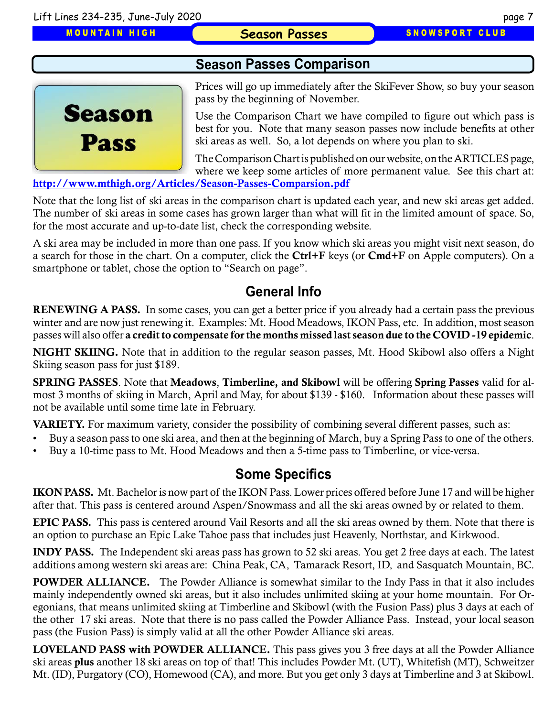MOUNTAIN HIGH

#### **Season Passes SNOWSPORT CLUB**

### **Season Passes Comparison**

**Season Pass** 

Prices will go up immediately after the SkiFever Show, so buy your season pass by the beginning of November.

Use the Comparison Chart we have compiled to figure out which pass is best for you. Note that many season passes now include benefits at other ski areas as well. So, a lot depends on where you plan to ski.

The Comparison Chart is published on our website, on the ARTICLES page, where we keep some articles of more permanent value. See this chart at:

<http://www.mthigh.org/Articles/Season-Passes-Comparsion.pdf>

[Note that the long list of ski areas in the comparison chart is updated each year, and new ski areas get added.](http://www.mthigh.org/Articles/Season-Passes-Comparsion.pdf)  [The number of ski areas in some cases has grown larger than what will fit in the limited amount of space. So,](http://www.mthigh.org/Articles/Season-Passes-Comparsion.pdf)  [for the most accurate and up-to-date list, check the corresponding website.](http://www.mthigh.org/Articles/Season-Passes-Comparsion.pdf)

[A ski area may be included in more than one pass. If you know which ski areas you might visit next season, do](http://www.mthigh.org/Articles/Season-Passes-Comparsion.pdf)  [a search for those in the chart. On a computer, click the](http://www.mthigh.org/Articles/Season-Passes-Comparsion.pdf) Ctrl+F keys (or Cmd+F on Apple computers). On a [smartphone or tablet, chose the option to "Search on page".](http://www.mthigh.org/Articles/Season-Passes-Comparsion.pdf)

## **General Info**

RENEWING A PASS. In some cases, you can get a better price if you already had a certain pass the previous winter and are now just renewing it. Examples: Mt. Hood Meadows, IKON Pass, etc. In addition, most season passes will also offer a credit to compensate for the months missed last season due to the COVID -19 epidemic.

NIGHT SKIING. Note that in addition to the regular season passes, Mt. Hood Skibowl also offers a Night Skiing season pass for just \$189.

SPRING PASSES. Note that Meadows, Timberline, and Skibowl will be offering Spring Passes valid for almost 3 months of skiing in March, April and May, for about \$139 - \$160. Information about these passes will not be available until some time late in February.

VARIETY. For maximum variety, consider the possibility of combining several different passes, such as:

- Buy a season pass to one ski area, and then at the beginning of March, buy a Spring Pass to one of the others.
- Buy a 10-time pass to Mt. Hood Meadows and then a 5-time pass to Timberline, or vice-versa.

### **Some Specifics**

IKON PASS. Mt. Bachelor is now part of the IKON Pass. Lower prices offered before June 17 and will be higher after that. This pass is centered around Aspen/Snowmass and all the ski areas owned by or related to them.

EPIC PASS. This pass is centered around Vail Resorts and all the ski areas owned by them. Note that there is an option to purchase an Epic Lake Tahoe pass that includes just Heavenly, Northstar, and Kirkwood.

INDY PASS. The Independent ski areas pass has grown to 52 ski areas. You get 2 free days at each. The latest additions among western ski areas are: China Peak, CA, Tamarack Resort, ID, and Sasquatch Mountain, BC.

POWDER ALLIANCE. The Powder Alliance is somewhat similar to the Indy Pass in that it also includes mainly independently owned ski areas, but it also includes unlimited skiing at your home mountain. For Oregonians, that means unlimited skiing at Timberline and Skibowl (with the Fusion Pass) plus 3 days at each of the other 17 ski areas. Note that there is no pass called the Powder Alliance Pass. Instead, your local season pass (the Fusion Pass) is simply valid at all the other Powder Alliance ski areas.

LOVELAND PASS with POWDER ALLIANCE. This pass gives you 3 free days at all the Powder Alliance ski areas plus another 18 ski areas on top of that! This includes Powder Mt. (UT), Whitefish (MT), Schweitzer Mt. (ID), Purgatory (CO), Homewood (CA), and more. But you get only 3 days at Timberline and 3 at Skibowl.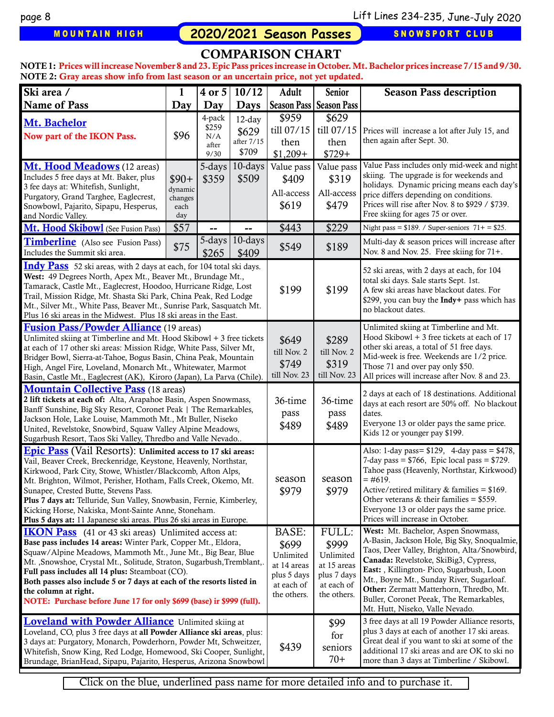MOUNTAIN HIGH **2020/2021 Season Passes** SNOWSPORT CLUB

#### COMPARISON CHART

NOTE 1: Prices will increase November 8 and 23. Epic Pass prices increase in October. Mt. Bachelor prices increase 7/15 and 9/30. NOTE 2: Gray areas show info from last season or an uncertain price, not yet updated.

| Ski area /                                                                                                                                                                                                                                                                                                                                                                                                                                                                                                              | $\mathbf{1}$                                | 4 or 5                                  | 10/12                                                                                  | Adult                                                                                  | Senior                                                                                                                                                                                                                                                                                                                                                                                       | <b>Season Pass description</b>                                                                                                                                                                                                                                        |
|-------------------------------------------------------------------------------------------------------------------------------------------------------------------------------------------------------------------------------------------------------------------------------------------------------------------------------------------------------------------------------------------------------------------------------------------------------------------------------------------------------------------------|---------------------------------------------|-----------------------------------------|----------------------------------------------------------------------------------------|----------------------------------------------------------------------------------------|----------------------------------------------------------------------------------------------------------------------------------------------------------------------------------------------------------------------------------------------------------------------------------------------------------------------------------------------------------------------------------------------|-----------------------------------------------------------------------------------------------------------------------------------------------------------------------------------------------------------------------------------------------------------------------|
| <b>Name of Pass</b>                                                                                                                                                                                                                                                                                                                                                                                                                                                                                                     | Day                                         | Day                                     | <b>Days</b>                                                                            | <b>Season Pass   Season Pass</b>                                                       |                                                                                                                                                                                                                                                                                                                                                                                              |                                                                                                                                                                                                                                                                       |
| Mt. Bachelor<br>Now part of the IKON Pass.                                                                                                                                                                                                                                                                                                                                                                                                                                                                              | \$96                                        | 4-pack<br>\$259<br>N/A<br>after<br>9/30 | $12$ -day<br>\$629<br>after 7/15<br>\$709                                              | \$959<br>till 07/15<br>then<br>$$1,209+$                                               | \$629<br>till 07/15<br>then<br>$$729+$                                                                                                                                                                                                                                                                                                                                                       | Prices will increase a lot after July 15, and<br>then again after Sept. 30.                                                                                                                                                                                           |
| <b>Mt. Hood Meadows</b> (12 areas)<br>Includes 5 free days at Mt. Baker, plus<br>3 fee days at: Whitefish, Sunlight,<br>Purgatory, Grand Targhee, Eaglecrest,<br>Snowbowl, Pajarito, Sipapu, Hesperus,<br>and Nordic Valley.                                                                                                                                                                                                                                                                                            | $$90+$<br>dynamic<br>changes<br>each<br>day | 5-days<br>\$359                         | $10$ -days<br>\$509                                                                    | Value pass<br>\$409<br>All-access<br>\$619                                             | Value pass<br>\$319<br>All-access<br>\$479                                                                                                                                                                                                                                                                                                                                                   | Value Pass includes only mid-week and night<br>skiing. The upgrade is for weekends and<br>holidays. Dynamic pricing means each day's<br>price differs depending on conditions.<br>Prices will rise after Nov. 8 to \$929 / \$739.<br>Free skiing for ages 75 or over. |
| Mt. Hood Skibowl (See Fusion Pass)                                                                                                                                                                                                                                                                                                                                                                                                                                                                                      | \$57                                        |                                         |                                                                                        | \$443                                                                                  | \$229                                                                                                                                                                                                                                                                                                                                                                                        | Night pass = $$189. / Super-seniors$ 71+ = $$25.$                                                                                                                                                                                                                     |
| Timberline (Also see Fusion Pass)<br>Includes the Summit ski area.                                                                                                                                                                                                                                                                                                                                                                                                                                                      | \$75                                        | $5$ -days  <br>\$265                    | 10-days<br>\$409                                                                       | \$549                                                                                  | \$189                                                                                                                                                                                                                                                                                                                                                                                        | Multi-day & season prices will increase after<br>Nov. 8 and Nov. 25. Free skiing for 71+.                                                                                                                                                                             |
| <b>Indy Pass</b> 52 ski areas, with 2 days at each, for 104 total ski days.<br>West: 49 Degrees North, Apex Mt., Beaver Mt., Brundage Mt.,<br>Tamarack, Castle Mt., Eaglecrest, Hoodoo, Hurricane Ridge, Lost<br>Trail, Mission Ridge, Mt. Shasta Ski Park, China Peak, Red Lodge<br>Mt., Silver Mt., White Pass, Beaver Mt., Sunrise Park, Sasquatch Mt.<br>Plus 16 ski areas in the Midwest. Plus 18 ski areas in the East.                                                                                           |                                             |                                         |                                                                                        | \$199                                                                                  | \$199                                                                                                                                                                                                                                                                                                                                                                                        | 52 ski areas, with 2 days at each, for 104<br>total ski days. Sale starts Sept. 1st.<br>A few ski areas have blackout dates. For<br>\$299, you can buy the Indy+ pass which has<br>no blackout dates.                                                                 |
| <b>Fusion Pass/Powder Alliance</b> (19 areas)<br>Unlimited skiing at Timberline and Mt. Hood Skibowl + 3 free tickets<br>at each of 17 other ski areas: Mission Ridge, White Pass, Silver Mt,<br>Bridger Bowl, Sierra-at-Tahoe, Bogus Basin, China Peak, Mountain<br>High, Angel Fire, Loveland, Monarch Mt., Whitewater, Marmot<br>Basin, Castle Mt., Eaglecrest (AK), Kiroro (Japan), La Parva (Chile)                                                                                                                |                                             |                                         | \$649<br>till Nov. 2<br>\$749<br>till Nov. 23                                          | \$289<br>till Nov. 2<br>\$319<br>till Nov. 23                                          | Unlimited skiing at Timberline and Mt.<br>Hood Skibowl + 3 free tickets at each of 17<br>other ski areas, a total of 51 free days.<br>Mid-week is free. Weekends are 1/2 price.<br>Those 71 and over pay only \$50.<br>All prices will increase after Nov. 8 and 23.                                                                                                                         |                                                                                                                                                                                                                                                                       |
| <b>Mountain Collective Pass</b> (18 areas)<br>2 lift tickets at each of: Alta, Arapahoe Basin, Aspen Snowmass,<br>Banff Sunshine, Big Sky Resort, Coronet Peak   The Remarkables,<br>Jackson Hole, Lake Louise, Mammoth Mt., Mt Buller, Niseko<br>United, Revelstoke, Snowbird, Squaw Valley Alpine Meadows,<br>Sugarbush Resort, Taos Ski Valley, Thredbo and Valle Nevado                                                                                                                                             |                                             |                                         | 36-time<br>pass<br>\$489                                                               | 36-time<br>pass<br>\$489                                                               | 2 days at each of 18 destinations. Additional<br>days at each resort are 50% off. No blackout<br>dates.<br>Everyone 13 or older pays the same price.<br>Kids 12 or younger pay \$199.                                                                                                                                                                                                        |                                                                                                                                                                                                                                                                       |
| <b>Epic Pass</b> (Vail Resorts): Unlimited access to 17 ski areas:<br>Vail, Beaver Creek, Breckenridge, Keystone, Heavenly, Northstar,<br>Kirkwood, Park City, Stowe, Whistler/Blackcomb, Afton Alps,<br>Mt. Brighton, Wilmot, Perisher, Hotham, Falls Creek, Okemo, Mt.<br>Sunapee, Crested Butte, Stevens Pass.<br>Plus 7 days at: Telluride, Sun Valley, Snowbasin, Fernie, Kimberley,<br>Kicking Horse, Nakiska, Mont-Sainte Anne, Stoneham.<br>Plus 5 days at: 11 Japanese ski areas. Plus 26 ski areas in Europe. |                                             |                                         | season<br>\$979                                                                        | season<br>\$979                                                                        | Also: 1-day pass= $$129, 4$ -day pass = $$478,$<br>7-day pass = $$766$ , Epic local pass = $$729$ .<br>Tahoe pass (Heavenly, Northstar, Kirkwood)<br>$=$ #619.<br>Active/retired military $&$ families = \$169.<br>Other veterans & their families = $$559$ .<br>Everyone 13 or older pays the same price.<br>Prices will increase in October.                                               |                                                                                                                                                                                                                                                                       |
| <b>IKON Pass</b> (41 or 43 ski areas) Unlimited access at:<br>Base pass includes 14 areas: Winter Park, Copper Mt., Eldora,<br>Squaw/Alpine Meadows, Mammoth Mt., June Mt., Big Bear, Blue<br>Mt., Snowshoe, Crystal Mt., Solitude, Straton, Sugarbush, Tremblant,.<br>Full pass includes all 14 plus: Steamboat (CO).<br>Both passes also include 5 or 7 days at each of the resorts listed in<br>the column at right.<br>NOTE: Purchase before June 17 for only \$699 (base) ir \$999 (full).                         |                                             |                                         | BASE:<br>\$699<br>Unlimited<br>at 14 areas<br>plus 5 days<br>at each of<br>the others. | FULL:<br>\$999<br>Unlimited<br>at 15 areas<br>plus 7 days<br>at each of<br>the others. | West: Mt. Bachelor, Aspen Snowmass,<br>A-Basin, Jackson Hole, Big Sky, Snoqualmie,<br>Taos, Deer Valley, Brighton, Alta/Snowbird,<br>Canada: Revelstoke, SkiBig3, Cypress,<br>East: , Killington- Pico, Sugarbush, Loon<br>Mt., Boyne Mt., Sunday River, Sugarloaf.<br>Other: Zermatt Matterhorn, Thredbo, Mt.<br>Buller, Coronet Peeak, The Remarkables,<br>Mt. Hutt, Niseko, Valle Nevado. |                                                                                                                                                                                                                                                                       |
| <b>Loveland with Powder Alliance</b> Unlimited skiing at<br>Loveland, CO, plus 3 free days at all Powder Alliance ski areas, plus:<br>3 days at: Purgatory, Monarch, Powderhorn, Powder Mt, Schweitzer,<br>Whitefish, Snow King, Red Lodge, Homewood, Ski Cooper, Sunlight,<br>Brundage, BrianHead, Sipapu, Pajarito, Hesperus, Arizona Snowbowl                                                                                                                                                                        |                                             |                                         | \$439                                                                                  | \$99<br>for<br>seniors<br>$70+$                                                        | 3 free days at all 19 Powder Alliance resorts,<br>plus 3 days at each of another 17 ski areas.<br>Great deal if you want to ski at some of the<br>additional 17 ski areas and are OK to ski no<br>more than 3 days at Timberline / Skibowl.                                                                                                                                                  |                                                                                                                                                                                                                                                                       |

Click on the blue, underlined pass name for more detailed info and to purchase it.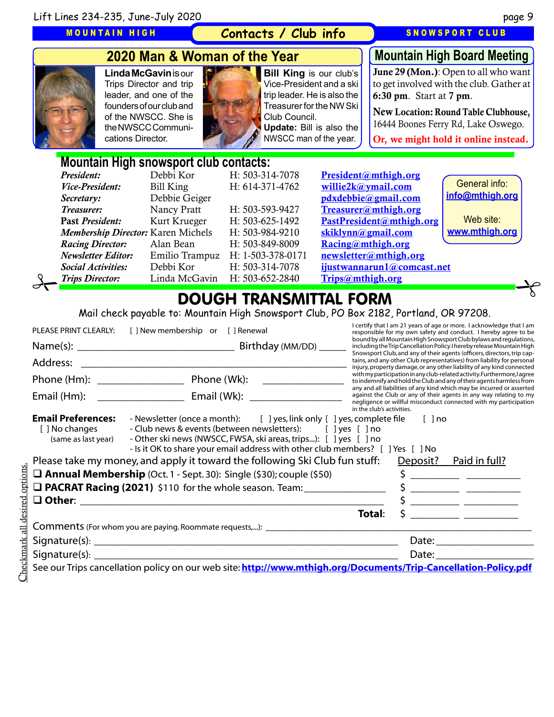MOUNTAIN HIGH

#### **Contacts / Club info**

SNOWSPORT CLUB



# **2020 Man & Woman of the Year**

**Linda McGavin** is our Trips Director and trip leader, and one of the founders of our club and of the NWSCC. She is the NWSCC Communications Director.



**Bill King** is our club's Vice-President and a ski trip leader. He is also the Treasurer for the NW Ski Club Council. **Update:** Bill is also the

NWSCC man of the year.

**Mountain High Board Meeting**

June 29 (Mon.): Open to all who want to get involved with the club. Gather at 6:30 pm. Start at 7 pm.

New Location: Round Table Clubhouse, 16444 Boones Ferry Rd, Lake Oswego. Or, we might hold it online instead.

# **Mountain High snowsport club contacts:**

|                                  | President:                         | Debbi Kor      | H: 503-314-7078   | President@mthigh.org       |                 |  |
|----------------------------------|------------------------------------|----------------|-------------------|----------------------------|-----------------|--|
|                                  | <i>Vice-President:</i>             | Bill King      | H: 614-371-4762   | willie2k@ymail.com         | General info:   |  |
|                                  | Secretary:                         | Debbie Geiger  |                   | pdxdebbie@gmail.com        | info@mthigh.org |  |
|                                  | Treasurer:                         | Nancy Pratt    | H: 503-593-9427   | Treasurer@mthigh.org       |                 |  |
|                                  | Past President:                    | Kurt Krueger   | H: 503-625-1492   | PastPresident@mthigh.org   | Web site:       |  |
|                                  | Membership Director: Karen Michels |                | H: 503-984-9210   | skiklynn@gmail.com         | www.mthigh.org  |  |
|                                  | <b>Racing Director:</b>            | Alan Bean      | H: 503-849-8009   | Racing@mthigh.org          |                 |  |
|                                  | <b>Newsletter Editor:</b>          | Emilio Trampuz | H: 1-503-378-0171 | newsletter@mthigh.org      |                 |  |
|                                  | <b>Social Activities:</b>          | Debbi Kor      | H: 503-314-7078   | ijustwannarun1@comcast.net |                 |  |
|                                  | <b>Trips Director:</b>             | Linda McGavin  | H: 503-652-2840   | Trips@mthigh.org           |                 |  |
| BAUAU TRANCINTTAL<br><b>CODA</b> |                                    |                |                   |                            |                 |  |

# DOUGH TRANSMITTAL FORM

Mail check payable to: Mountain High Snowsport Club, PO Box 2182, Portland, OR 97208.

| PLEASE PRINT CLEARLY:                                              | [] New membership or [] Renewal                                                                                                                                                                                                                                                                   | I certify that I am 21 years of age or more. I acknowledge that I am<br>responsible for my own safety and conduct. I hereby agree to be                                                                                                     |
|--------------------------------------------------------------------|---------------------------------------------------------------------------------------------------------------------------------------------------------------------------------------------------------------------------------------------------------------------------------------------------|---------------------------------------------------------------------------------------------------------------------------------------------------------------------------------------------------------------------------------------------|
|                                                                    |                                                                                                                                                                                                                                                                                                   | bound by all Mountain High Snowsport Club bylaws and regulations,<br>including the Trip Cancellation Policy. I hereby release Mountain High                                                                                                 |
|                                                                    |                                                                                                                                                                                                                                                                                                   | Snowsport Club, and any of their agents (officers, directors, trip cap-<br>tains, and any other Club representatives) from liability for personal<br>injury, property damage, or any other liability of any kind connected                  |
|                                                                    |                                                                                                                                                                                                                                                                                                   | with my participation in any club-related activity. Furthermore, lagree<br>to indemnify and hold the Club and any of their agents harmless from                                                                                             |
| Email (Hm):                                                        |                                                                                                                                                                                                                                                                                                   | any and all liabilities of any kind which may be incurred or asserted<br>against the Club or any of their agents in any way relating to my<br>negligence or willful misconduct connected with my participation<br>in the club's activities. |
| <b>Email Preferences:</b><br>[ ] No changes<br>(same as last year) | - Newsletter (once a month): [ ] yes, link only [ ] yes, complete file [ ] no<br>- Club news & events (between newsletters): [ ] yes [ ] no<br>- Other ski news (NWSCC, FWSA, ski areas, trips): [ ] yes [ ] no<br>- Is it OK to share your email address with other club members? [ ] Yes [ ] No |                                                                                                                                                                                                                                             |
|                                                                    | Please take my money, and apply it toward the following Ski Club fun stuff:                                                                                                                                                                                                                       | Deposit? Paid in full?                                                                                                                                                                                                                      |
|                                                                    | $\Box$ Annual Membership (Oct. 1 - Sept. 30): Single (\$30); couple (\$50)                                                                                                                                                                                                                        | $\frac{1}{2}$                                                                                                                                                                                                                               |
|                                                                    | □ PACRAT Racing (2021) \$110 for the whole season. Team: _______________                                                                                                                                                                                                                          |                                                                                                                                                                                                                                             |
|                                                                    |                                                                                                                                                                                                                                                                                                   | $\frac{1}{2}$                                                                                                                                                                                                                               |
|                                                                    |                                                                                                                                                                                                                                                                                                   | Total:                                                                                                                                                                                                                                      |
|                                                                    |                                                                                                                                                                                                                                                                                                   |                                                                                                                                                                                                                                             |
|                                                                    |                                                                                                                                                                                                                                                                                                   |                                                                                                                                                                                                                                             |
|                                                                    |                                                                                                                                                                                                                                                                                                   |                                                                                                                                                                                                                                             |
|                                                                    | See our Trips cancellation policy on our web site: http://www.mthigh.org/Documents/Trip-Cancellation-Policy.pdf                                                                                                                                                                                   |                                                                                                                                                                                                                                             |